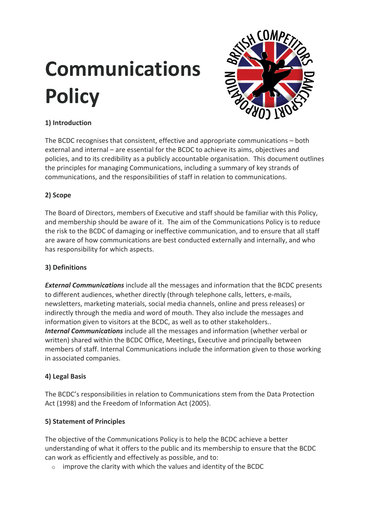# **Communications Policy**



# **1) Introduction**

The BCDC recognises that consistent, effective and appropriate communications – both external and internal – are essential for the BCDC to achieve its aims, objectives and policies, and to its credibility as a publicly accountable organisation. This document outlines the principles for managing Communications, including a summary of key strands of communications, and the responsibilities of staff in relation to communications.

# **2) Scope**

The Board of Directors, members of Executive and staff should be familiar with this Policy, and membership should be aware of it. The aim of the Communications Policy is to reduce the risk to the BCDC of damaging or ineffective communication, and to ensure that all staff are aware of how communications are best conducted externally and internally, and who has responsibility for which aspects.

# **3) Definitions**

*External Communications* include all the messages and information that the BCDC presents to different audiences, whether directly (through telephone calls, letters, e-mails, newsletters, marketing materials, social media channels, online and press releases) or indirectly through the media and word of mouth. They also include the messages and information given to visitors at the BCDC, as well as to other stakeholders.. *Internal Communications* include all the messages and information (whether verbal or written) shared within the BCDC Office, Meetings, Executive and principally between members of staff. Internal Communications include the information given to those working in associated companies.

# **4) Legal Basis**

The BCDC's responsibilities in relation to Communications stem from the Data Protection Act (1998) and the Freedom of Information Act (2005).

# **5) Statement of Principles**

The objective of the Communications Policy is to help the BCDC achieve a better understanding of what it offers to the public and its membership to ensure that the BCDC can work as efficiently and effectively as possible, and to:

 $\circ$  improve the clarity with which the values and identity of the BCDC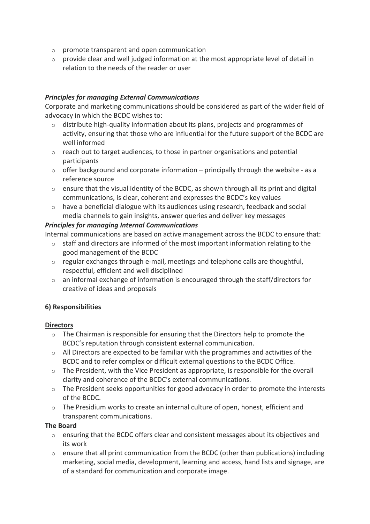- o promote transparent and open communication
- o provide clear and well judged information at the most appropriate level of detail in relation to the needs of the reader or user

#### *Principles for managing External Communications*

Corporate and marketing communications should be considered as part of the wider field of advocacy in which the BCDC wishes to:

- $\circ$  distribute high-quality information about its plans, projects and programmes of activity, ensuring that those who are influential for the future support of the BCDC are well informed
- $\circ$  reach out to target audiences, to those in partner organisations and potential participants
- $\circ$  offer background and corporate information principally through the website as a reference source
- $\circ$  ensure that the visual identity of the BCDC, as shown through all its print and digital communications, is clear, coherent and expresses the BCDC's key values
- $\circ$  have a beneficial dialogue with its audiences using research, feedback and social media channels to gain insights, answer queries and deliver key messages

#### *Principles for managing Internal Communications*

Internal communications are based on active management across the BCDC to ensure that:

- o staff and directors are informed of the most important information relating to the good management of the BCDC
- o regular exchanges through e-mail, meetings and telephone calls are thoughtful, respectful, efficient and well disciplined
- o an informal exchange of information is encouraged through the staff/directors for creative of ideas and proposals

# **6) Responsibilities**

#### **Directors**

- $\circ$  The Chairman is responsible for ensuring that the Directors help to promote the BCDC's reputation through consistent external communication.
- $\circ$  All Directors are expected to be familiar with the programmes and activities of the BCDC and to refer complex or difficult external questions to the BCDC Office.
- o The President, with the Vice President as appropriate, is responsible for the overall clarity and coherence of the BCDC's external communications.
- $\circ$  The President seeks opportunities for good advocacy in order to promote the interests of the BCDC.
- $\circ$  The Presidium works to create an internal culture of open, honest, efficient and transparent communications.

#### **The Board**

- $\circ$  ensuring that the BCDC offers clear and consistent messages about its objectives and its work
- $\circ$  ensure that all print communication from the BCDC (other than publications) including marketing, social media, development, learning and access, hand lists and signage, are of a standard for communication and corporate image.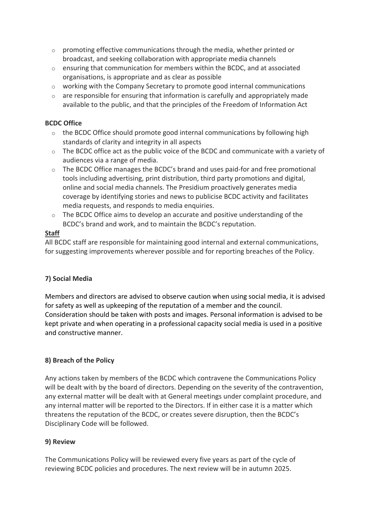- $\circ$  promoting effective communications through the media, whether printed or broadcast, and seeking collaboration with appropriate media channels
- $\circ$  ensuring that communication for members within the BCDC, and at associated organisations, is appropriate and as clear as possible
- o working with the Company Secretary to promote good internal communications
- $\circ$  are responsible for ensuring that information is carefully and appropriately made available to the public, and that the principles of the Freedom of Information Act

# **BCDC Office**

- $\circ$  the BCDC Office should promote good internal communications by following high standards of clarity and integrity in all aspects
- o The BCDC office act as the public voice of the BCDC and communicate with a variety of audiences via a range of media.
- $\circ$  The BCDC Office manages the BCDC's brand and uses paid-for and free promotional tools including advertising, print distribution, third party promotions and digital, online and social media channels. The Presidium proactively generates media coverage by identifying stories and news to publicise BCDC activity and facilitates media requests, and responds to media enquiries.
- $\circ$  The BCDC Office aims to develop an accurate and positive understanding of the BCDC's brand and work, and to maintain the BCDC's reputation.

# **Staff**

All BCDC staff are responsible for maintaining good internal and external communications, for suggesting improvements wherever possible and for reporting breaches of the Policy.

# **7) Social Media**

Members and directors are advised to observe caution when using social media, it is advised for safety as well as upkeeping of the reputation of a member and the council. Consideration should be taken with posts and images. Personal information is advised to be kept private and when operating in a professional capacity social media is used in a positive and constructive manner.

# **8) Breach of the Policy**

Any actions taken by members of the BCDC which contravene the Communications Policy will be dealt with by the board of directors. Depending on the severity of the contravention, any external matter will be dealt with at General meetings under complaint procedure, and any internal matter will be reported to the Directors. If in either case it is a matter which threatens the reputation of the BCDC, or creates severe disruption, then the BCDC's Disciplinary Code will be followed.

# **9) Review**

The Communications Policy will be reviewed every five years as part of the cycle of reviewing BCDC policies and procedures. The next review will be in autumn 2025.